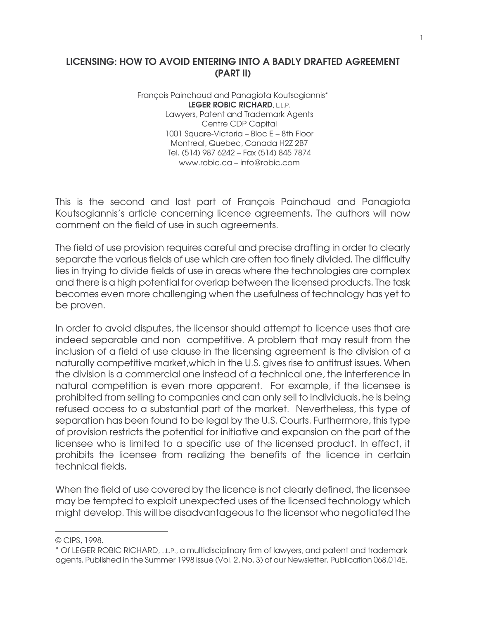## LICENSING: HOW TO AVOID ENTERING INTO A BADLY DRAFTED AGREEMENT (PART II)

François Painchaud and Panagiota Koutsogiannis\* LEGER ROBIC RICHARD, L.L.P. Lawyers, Patent and Trademark Agents Centre CDP Capital 1001 Square-Victoria – Bloc E – 8th Floor Montreal, Quebec, Canada H2Z 2B7 Tel. (514) 987 6242 – Fax (514) 845 7874 www.robic.ca – info@robic.com

This is the second and last part of François Painchaud and Panagiota Koutsogiannis's article concerning licence agreements. The authors will now comment on the field of use in such agreements.

The field of use provision requires careful and precise drafting in order to clearly separate the various fields of use which are often too finely divided. The difficulty lies in trying to divide fields of use in areas where the technologies are complex and there is a high potential for overlap between the licensed products. The task becomes even more challenging when the usefulness of technology has yet to be proven.

In order to avoid disputes, the licensor should attempt to licence uses that are indeed separable and non competitive. A problem that may result from the inclusion of a field of use clause in the licensing agreement is the division of a naturally competitive market,which in the U.S. gives rise to antitrust issues. When the division is a commercial one instead of a technical one, the interference in natural competition is even more apparent. For example, if the licensee is prohibited from selling to companies and can only sell to individuals, he is being refused access to a substantial part of the market. Nevertheless, this type of separation has been found to be legal by the U.S. Courts. Furthermore, this type of provision restricts the potential for initiative and expansion on the part of the licensee who is limited to a specific use of the licensed product. In effect, it prohibits the licensee from realizing the benefits of the licence in certain technical fields.

When the field of use covered by the licence is not clearly defined, the licensee may be tempted to exploit unexpected uses of the licensed technology which might develop. This will be disadvantageous to the licensor who negotiated the

 $\overline{a}$ 

<sup>©</sup> CIPS, 1998.

<sup>\*</sup> Of LEGER ROBIC RICHARD, L.L.P., a multidisciplinary firm of lawyers, and patent and trademark agents. Published in the Summer 1998 issue (Vol. 2, No. 3) of our Newsletter. Publication 068.014E.